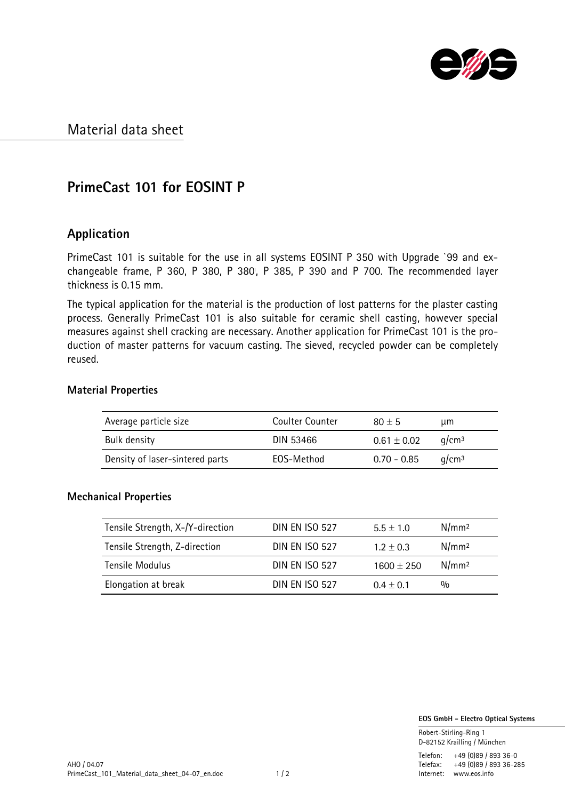

### Material data sheet

# **PrimeCast 101 for EOSINT P**

### **Application**

PrimeCast 101 is suitable for the use in all systems EOSINT P 350 with Upgrade `99 and exchangeable frame, P 360, P 380, P 380, P 385, P 390 and P 700. The recommended layer thickness is 0.15 mm.

The typical application for the material is the production of lost patterns for the plaster casting process. Generally PrimeCast 101 is also suitable for ceramic shell casting, however special measures against shell cracking are necessary. Another application for PrimeCast 101 is the production of master patterns for vacuum casting. The sieved, recycled powder can be completely reused.

#### **Material Properties**

| Average particle size           | Coulter Counter | $80 + 5$        | μm                |
|---------------------------------|-----------------|-----------------|-------------------|
| Bulk density                    | DIN 53466       | $0.61 \pm 0.02$ | a/cm <sup>3</sup> |
| Density of laser-sintered parts | EOS-Method      | $0.70 - 0.85$   | a/cm <sup>3</sup> |

#### **Mechanical Properties**

| Tensile Strength, X-/Y-direction | <b>DIN EN ISO 527</b> | $5.5 + 1.0$    | N/mm <sup>2</sup> |
|----------------------------------|-----------------------|----------------|-------------------|
| Tensile Strength, Z-direction    | <b>DIN EN ISO 527</b> | $1.2 \pm 0.3$  | N/mm <sup>2</sup> |
| Tensile Modulus                  | <b>DIN EN ISO 527</b> | $1600 \pm 250$ | N/mm <sup>2</sup> |
| Elongation at break              | <b>DIN FN ISO 527</b> | $0.4 + 0.1$    | 0/0               |

 **EOS GmbH - Electro Optical Systems**